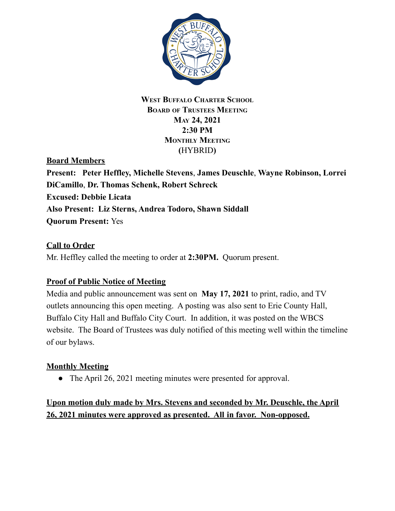

# **WEST BUFFALO CHARTER SCHOOL BOARD OF TRUSTEES MEETING MAY 24, 2021 2:30 PM MONTHLY MEETING (**HYBRID**)**

**Board Members**

**Present: Peter Heffley, Michelle Stevens**, **James Deuschle**, **Wayne Robinson, Lorrei DiCamillo**, **Dr. Thomas Schenk, Robert Schreck Excused: Debbie Licata Also Present: Liz Sterns, Andrea Todoro, Shawn Siddall Quorum Present:** Yes

# **Call to Order**

Mr. Heffley called the meeting to order at **2:30PM.** Quorum present.

# **Proof of Public Notice of Meeting**

Media and public announcement was sent on **May 17, 2021** to print, radio, and TV outlets announcing this open meeting. A posting was also sent to Erie County Hall, Buffalo City Hall and Buffalo City Court. In addition, it was posted on the WBCS website. The Board of Trustees was duly notified of this meeting well within the timeline of our bylaws.

# **Monthly Meeting**

• The April 26, 2021 meeting minutes were presented for approval.

# **Upon motion duly made by Mrs. Stevens and seconded by Mr. Deuschle, the April 26, 2021 minutes were approved as presented. All in favor. Non-opposed.**